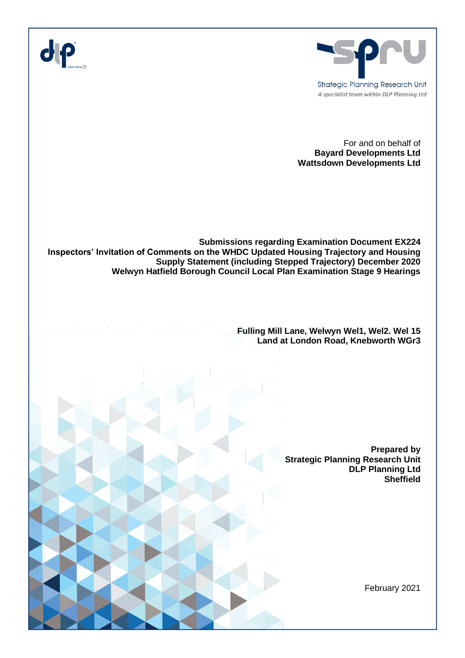



For and on behalf of **Bayard Developments Ltd Wattsdown Developments Ltd**

**Submissions regarding Examination Document EX224 Inspectors' Invitation of Comments on the WHDC Updated Housing Trajectory and Housing Supply Statement (including Stepped Trajectory) December 2020 Welwyn Hatfield Borough Council Local Plan Examination Stage 9 Hearings**

> **Fulling Mill Lane, Welwyn Wel1, Wel2. Wel 15 Land at London Road, Knebworth WGr3**

> > **Prepared by Strategic Planning Research Unit DLP Planning Ltd Sheffield**

> > > February 2021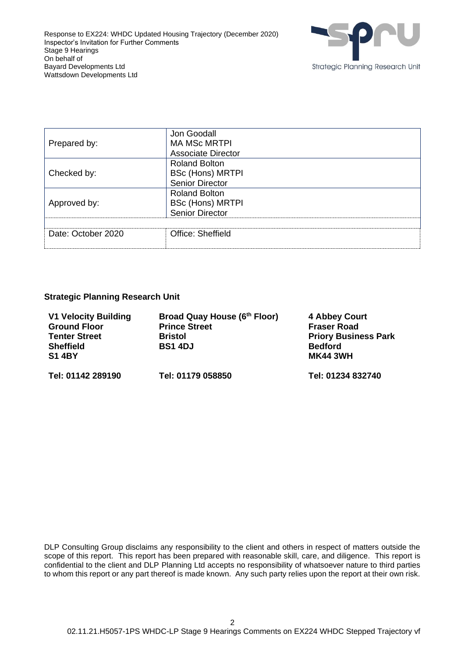

| Prepared by:       | Jon Goodall<br><b>MA MSc MRTPI</b><br>Associate Director                  |
|--------------------|---------------------------------------------------------------------------|
| Checked by:        | <b>Roland Bolton</b><br><b>BSc (Hons) MRTPI</b><br><b>Senior Director</b> |
| Approved by:       | <b>Roland Bolton</b><br><b>BSc (Hons) MRTPI</b><br><b>Senior Director</b> |
| Date: October 2020 | Office: Sheffield                                                         |

## **Strategic Planning Research Unit**

| <b>V1 Velocity Building</b><br><b>Ground Floor</b><br><b>Tenter Street</b><br><b>Sheffield</b><br><b>S1 4BY</b> | Broad Quay House (6th Floor)<br><b>Prince Street</b><br><b>Bristol</b><br><b>BS1 4DJ</b> | 4 Abbey Court<br><b>Fraser Road</b><br><b>Priory Business Park</b><br><b>Bedford</b><br><b>MK44 3WH</b> |
|-----------------------------------------------------------------------------------------------------------------|------------------------------------------------------------------------------------------|---------------------------------------------------------------------------------------------------------|
| Tel: 01142 289190                                                                                               | Tel: 01179 058850                                                                        | Tel: 01234 832740                                                                                       |

DLP Consulting Group disclaims any responsibility to the client and others in respect of matters outside the scope of this report. This report has been prepared with reasonable skill, care, and diligence. This report is confidential to the client and DLP Planning Ltd accepts no responsibility of whatsoever nature to third parties to whom this report or any part thereof is made known. Any such party relies upon the report at their own risk.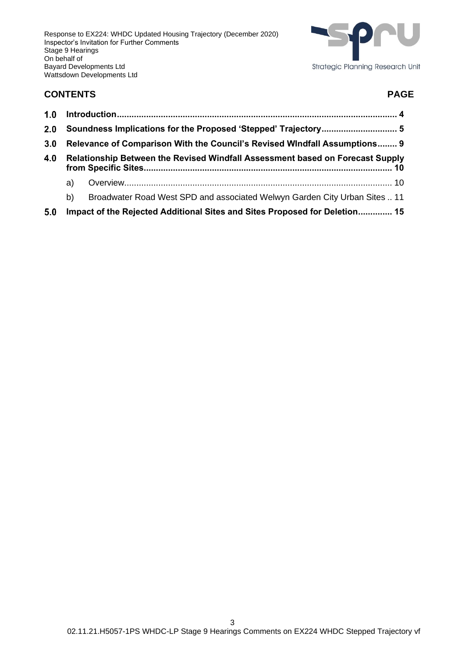

# **CONTENTS PAGE**

| 1.0 |    |                                                                               |
|-----|----|-------------------------------------------------------------------------------|
| 2.0 |    |                                                                               |
| 3.0 |    | Relevance of Comparison With the Council's Revised WIndfall Assumptions 9     |
| 4.0 |    | Relationship Between the Revised Windfall Assessment based on Forecast Supply |
|     | a) |                                                                               |
|     | b) | Broadwater Road West SPD and associated Welwyn Garden City Urban Sites  11    |
| 5.0 |    | Impact of the Rejected Additional Sites and Sites Proposed for Deletion 15    |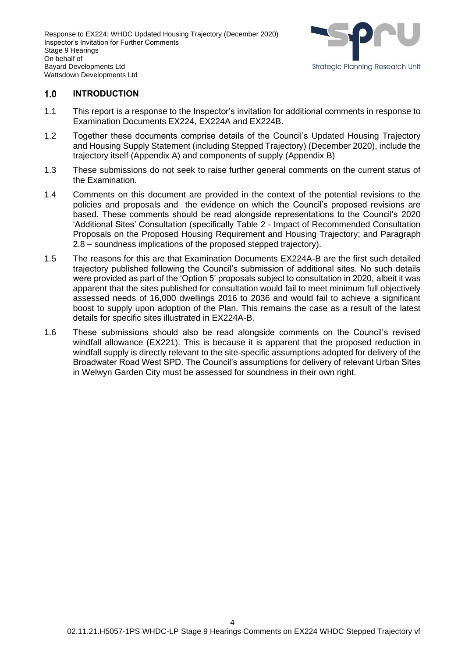

#### $1.0$ **INTRODUCTION**

- 1.1 This report is a response to the Inspector's invitation for additional comments in response to Examination Documents EX224, EX224A and EX224B.
- 1.2 Together these documents comprise details of the Council's Updated Housing Trajectory and Housing Supply Statement (including Stepped Trajectory) (December 2020), include the trajectory itself (Appendix A) and components of supply (Appendix B)
- 1.3 These submissions do not seek to raise further general comments on the current status of the Examination.
- 1.4 Comments on this document are provided in the context of the potential revisions to the policies and proposals and the evidence on which the Council's proposed revisions are based. These comments should be read alongside representations to the Council's 2020 'Additional Sites' Consultation (specifically Table 2 - Impact of Recommended Consultation Proposals on the Proposed Housing Requirement and Housing Trajectory; and Paragraph 2.8 – soundness implications of the proposed stepped trajectory).
- 1.5 The reasons for this are that Examination Documents EX224A-B are the first such detailed trajectory published following the Council's submission of additional sites. No such details were provided as part of the 'Option 5' proposals subject to consultation in 2020, albeit it was apparent that the sites published for consultation would fail to meet minimum full objectively assessed needs of 16,000 dwellings 2016 to 2036 and would fail to achieve a significant boost to supply upon adoption of the Plan. This remains the case as a result of the latest details for specific sites illustrated in EX224A-B.
- 1.6 These submissions should also be read alongside comments on the Council's revised windfall allowance (EX221). This is because it is apparent that the proposed reduction in windfall supply is directly relevant to the site-specific assumptions adopted for delivery of the Broadwater Road West SPD. The Council's assumptions for delivery of relevant Urban Sites in Welwyn Garden City must be assessed for soundness in their own right.

4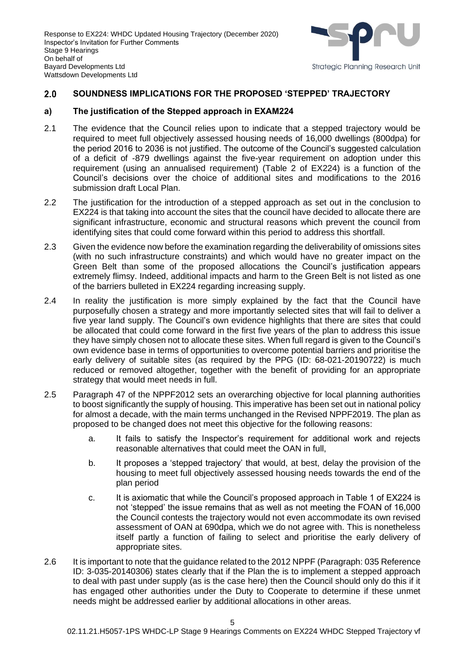

#### $2.0$ **SOUNDNESS IMPLICATIONS FOR THE PROPOSED 'STEPPED' TRAJECTORY**

### **a) The justification of the Stepped approach in EXAM224**

- 2.1 The evidence that the Council relies upon to indicate that a stepped trajectory would be required to meet full objectively assessed housing needs of 16,000 dwellings (800dpa) for the period 2016 to 2036 is not justified. The outcome of the Council's suggested calculation of a deficit of -879 dwellings against the five-year requirement on adoption under this requirement (using an annualised requirement) (Table 2 of EX224) is a function of the Council's decisions over the choice of additional sites and modifications to the 2016 submission draft Local Plan.
- 2.2 The justification for the introduction of a stepped approach as set out in the conclusion to EX224 is that taking into account the sites that the council have decided to allocate there are significant infrastructure, economic and structural reasons which prevent the council from identifying sites that could come forward within this period to address this shortfall.
- 2.3 Given the evidence now before the examination regarding the deliverability of omissions sites (with no such infrastructure constraints) and which would have no greater impact on the Green Belt than some of the proposed allocations the Council's justification appears extremely flimsy. Indeed, additional impacts and harm to the Green Belt is not listed as one of the barriers bulleted in EX224 regarding increasing supply.
- 2.4 In reality the justification is more simply explained by the fact that the Council have purposefully chosen a strategy and more importantly selected sites that will fail to deliver a five year land supply. The Council's own evidence highlights that there are sites that could be allocated that could come forward in the first five years of the plan to address this issue they have simply chosen not to allocate these sites. When full regard is given to the Council's own evidence base in terms of opportunities to overcome potential barriers and prioritise the early delivery of suitable sites (as required by the PPG (ID: 68-021-20190722) is much reduced or removed altogether, together with the benefit of providing for an appropriate strategy that would meet needs in full.
- 2.5 Paragraph 47 of the NPPF2012 sets an overarching objective for local planning authorities to boost significantly the supply of housing. This imperative has been set out in national policy for almost a decade, with the main terms unchanged in the Revised NPPF2019. The plan as proposed to be changed does not meet this objective for the following reasons:
	- a. It fails to satisfy the Inspector's requirement for additional work and rejects reasonable alternatives that could meet the OAN in full,
	- b. It proposes a 'stepped trajectory' that would, at best, delay the provision of the housing to meet full objectively assessed housing needs towards the end of the plan period
	- c. It is axiomatic that while the Council's proposed approach in Table 1 of EX224 is not 'stepped' the issue remains that as well as not meeting the FOAN of 16,000 the Council contests the trajectory would not even accommodate its own revised assessment of OAN at 690dpa, which we do not agree with. This is nonetheless itself partly a function of failing to select and prioritise the early delivery of appropriate sites.
- 2.6 It is important to note that the guidance related to the 2012 NPPF (Paragraph: 035 Reference ID: 3-035-20140306) states clearly that if the Plan the is to implement a stepped approach to deal with past under supply (as is the case here) then the Council should only do this if it has engaged other authorities under the Duty to Cooperate to determine if these unmet needs might be addressed earlier by additional allocations in other areas.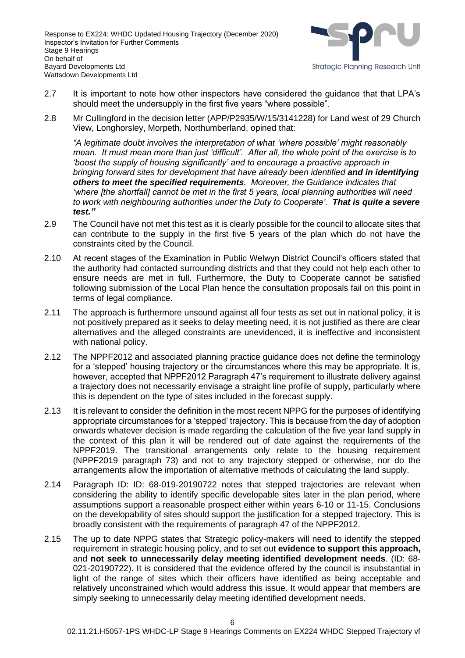

- 2.7 It is important to note how other inspectors have considered the guidance that that LPA's should meet the undersupply in the first five years "where possible".
- 2.8 Mr Cullingford in the decision letter (APP/P2935/W/15/3141228) for Land west of 29 Church View, Longhorsley, Morpeth, Northumberland, opined that:

*"A legitimate doubt involves the interpretation of what 'where possible' might reasonably mean. It must mean more than just 'difficult'. After all, the whole point of the exercise is to 'boost the supply of housing significantly' and to encourage a proactive approach in bringing forward sites for development that have already been identified and in identifying others to meet the specified requirements. Moreover, the Guidance indicates that 'where [the shortfall] cannot be met in the first 5 years, local planning authorities will need to work with neighbouring authorities under the Duty to Cooperate'. That is quite a severe test."*

- 2.9 The Council have not met this test as it is clearly possible for the council to allocate sites that can contribute to the supply in the first five 5 years of the plan which do not have the constraints cited by the Council.
- 2.10 At recent stages of the Examination in Public Welwyn District Council's officers stated that the authority had contacted surrounding districts and that they could not help each other to ensure needs are met in full. Furthermore, the Duty to Cooperate cannot be satisfied following submission of the Local Plan hence the consultation proposals fail on this point in terms of legal compliance.
- 2.11 The approach is furthermore unsound against all four tests as set out in national policy, it is not positively prepared as it seeks to delay meeting need, it is not justified as there are clear alternatives and the alleged constraints are unevidenced, it is ineffective and inconsistent with national policy.
- 2.12 The NPPF2012 and associated planning practice guidance does not define the terminology for a 'stepped' housing trajectory or the circumstances where this may be appropriate. It is, however, accepted that NPPF2012 Paragraph 47's requirement to illustrate delivery against a trajectory does not necessarily envisage a straight line profile of supply, particularly where this is dependent on the type of sites included in the forecast supply.
- 2.13 It is relevant to consider the definition in the most recent NPPG for the purposes of identifying appropriate circumstances for a 'stepped' trajectory. This is because from the day of adoption onwards whatever decision is made regarding the calculation of the five year land supply in the context of this plan it will be rendered out of date against the requirements of the NPPF2019. The transitional arrangements only relate to the housing requirement (NPPF2019 paragraph 73) and not to any trajectory stepped or otherwise, nor do the arrangements allow the importation of alternative methods of calculating the land supply.
- 2.14 Paragraph ID: ID: 68-019-20190722 notes that stepped trajectories are relevant when considering the ability to identify specific developable sites later in the plan period, where assumptions support a reasonable prospect either within years 6-10 or 11-15. Conclusions on the developability of sites should support the justification for a stepped trajectory. This is broadly consistent with the requirements of paragraph 47 of the NPPF2012.
- 2.15 The up to date NPPG states that Strategic policy-makers will need to identify the stepped requirement in strategic housing policy, and to set out **evidence to support this approach,** and **not seek to unnecessarily delay meeting identified development needs**. (ID: 68- 021-20190722). It is considered that the evidence offered by the council is insubstantial in light of the range of sites which their officers have identified as being acceptable and relatively unconstrained which would address this issue. It would appear that members are simply seeking to unnecessarily delay meeting identified development needs.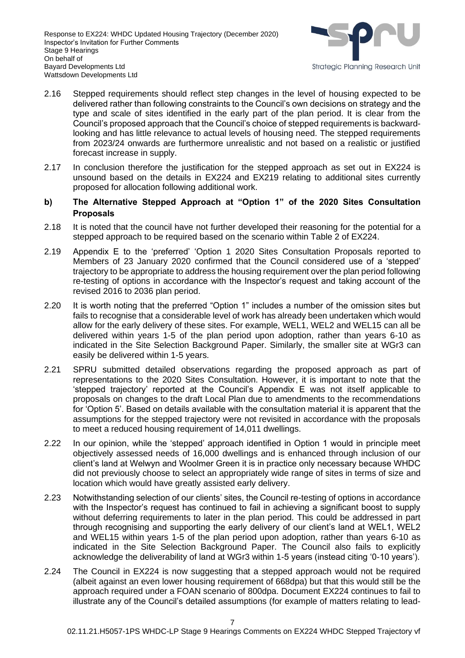

- 2.16 Stepped requirements should reflect step changes in the level of housing expected to be delivered rather than following constraints to the Council's own decisions on strategy and the type and scale of sites identified in the early part of the plan period. It is clear from the Council's proposed approach that the Council's choice of stepped requirements is backwardlooking and has little relevance to actual levels of housing need. The stepped requirements from 2023/24 onwards are furthermore unrealistic and not based on a realistic or justified forecast increase in supply.
- 2.17 In conclusion therefore the justification for the stepped approach as set out in EX224 is unsound based on the details in EX224 and EX219 relating to additional sites currently proposed for allocation following additional work.
- **b) The Alternative Stepped Approach at "Option 1" of the 2020 Sites Consultation Proposals**
- 2.18 It is noted that the council have not further developed their reasoning for the potential for a stepped approach to be required based on the scenario within Table 2 of EX224.
- 2.19 Appendix E to the 'preferred' 'Option 1 2020 Sites Consultation Proposals reported to Members of 23 January 2020 confirmed that the Council considered use of a 'stepped' trajectory to be appropriate to address the housing requirement over the plan period following re-testing of options in accordance with the Inspector's request and taking account of the revised 2016 to 2036 plan period.
- 2.20 It is worth noting that the preferred "Option 1" includes a number of the omission sites but fails to recognise that a considerable level of work has already been undertaken which would allow for the early delivery of these sites. For example, WEL1, WEL2 and WEL15 can all be delivered within years 1-5 of the plan period upon adoption, rather than years 6-10 as indicated in the Site Selection Background Paper. Similarly, the smaller site at WGr3 can easily be delivered within 1-5 years.
- 2.21 SPRU submitted detailed observations regarding the proposed approach as part of representations to the 2020 Sites Consultation. However, it is important to note that the 'stepped trajectory' reported at the Council's Appendix E was not itself applicable to proposals on changes to the draft Local Plan due to amendments to the recommendations for 'Option 5'. Based on details available with the consultation material it is apparent that the assumptions for the stepped trajectory were not revisited in accordance with the proposals to meet a reduced housing requirement of 14,011 dwellings.
- 2.22 In our opinion, while the 'stepped' approach identified in Option 1 would in principle meet objectively assessed needs of 16,000 dwellings and is enhanced through inclusion of our client's land at Welwyn and Woolmer Green it is in practice only necessary because WHDC did not previously choose to select an appropriately wide range of sites in terms of size and location which would have greatly assisted early delivery.
- 2.23 Notwithstanding selection of our clients' sites, the Council re-testing of options in accordance with the Inspector's request has continued to fail in achieving a significant boost to supply without deferring requirements to later in the plan period. This could be addressed in part through recognising and supporting the early delivery of our client's land at WEL1, WEL2 and WEL15 within years 1-5 of the plan period upon adoption, rather than years 6-10 as indicated in the Site Selection Background Paper. The Council also fails to explicitly acknowledge the deliverability of land at WGr3 within 1-5 years (instead citing '0-10 years').
- 2.24 The Council in EX224 is now suggesting that a stepped approach would not be required (albeit against an even lower housing requirement of 668dpa) but that this would still be the approach required under a FOAN scenario of 800dpa. Document EX224 continues to fail to illustrate any of the Council's detailed assumptions (for example of matters relating to lead-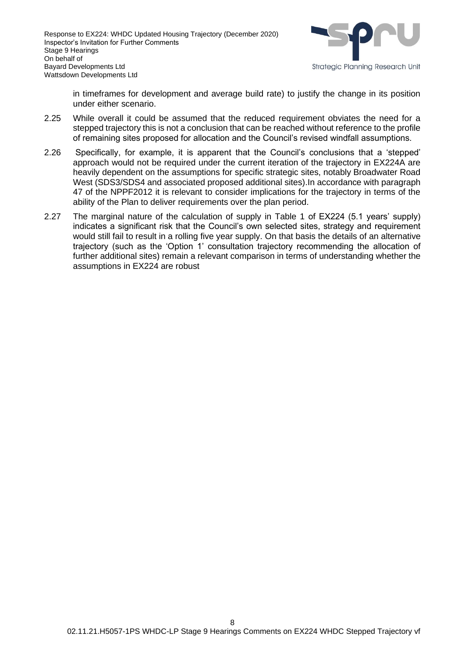

in timeframes for development and average build rate) to justify the change in its position under either scenario.

- 2.25 While overall it could be assumed that the reduced requirement obviates the need for a stepped trajectory this is not a conclusion that can be reached without reference to the profile of remaining sites proposed for allocation and the Council's revised windfall assumptions.
- 2.26 Specifically, for example, it is apparent that the Council's conclusions that a 'stepped' approach would not be required under the current iteration of the trajectory in EX224A are heavily dependent on the assumptions for specific strategic sites, notably Broadwater Road West (SDS3/SDS4 and associated proposed additional sites).In accordance with paragraph 47 of the NPPF2012 it is relevant to consider implications for the trajectory in terms of the ability of the Plan to deliver requirements over the plan period.
- 2.27 The marginal nature of the calculation of supply in Table 1 of EX224 (5.1 years' supply) indicates a significant risk that the Council's own selected sites, strategy and requirement would still fail to result in a rolling five year supply. On that basis the details of an alternative trajectory (such as the 'Option 1' consultation trajectory recommending the allocation of further additional sites) remain a relevant comparison in terms of understanding whether the assumptions in EX224 are robust

8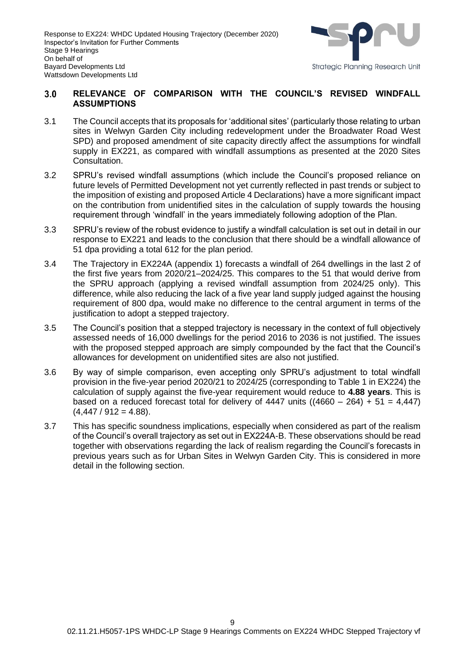Response to EX224: WHDC Updated Housing Trajectory (December 2020) Inspector's Invitation for Further Comments Stage 9 Hearings On behalf of Bayard Developments Ltd Wattsdown Developments Ltd



#### $3.0$ **RELEVANCE OF COMPARISON WITH THE COUNCIL'S REVISED WINDFALL ASSUMPTIONS**

- 3.1 The Council accepts that its proposals for 'additional sites' (particularly those relating to urban sites in Welwyn Garden City including redevelopment under the Broadwater Road West SPD) and proposed amendment of site capacity directly affect the assumptions for windfall supply in EX221, as compared with windfall assumptions as presented at the 2020 Sites Consultation.
- 3.2 SPRU's revised windfall assumptions (which include the Council's proposed reliance on future levels of Permitted Development not yet currently reflected in past trends or subject to the imposition of existing and proposed Article 4 Declarations) have a more significant impact on the contribution from unidentified sites in the calculation of supply towards the housing requirement through 'windfall' in the years immediately following adoption of the Plan.
- 3.3 SPRU's review of the robust evidence to justify a windfall calculation is set out in detail in our response to EX221 and leads to the conclusion that there should be a windfall allowance of 51 dpa providing a total 612 for the plan period.
- 3.4 The Trajectory in EX224A (appendix 1) forecasts a windfall of 264 dwellings in the last 2 of the first five years from 2020/21–2024/25. This compares to the 51 that would derive from the SPRU approach (applying a revised windfall assumption from 2024/25 only). This difference, while also reducing the lack of a five year land supply judged against the housing requirement of 800 dpa, would make no difference to the central argument in terms of the justification to adopt a stepped trajectory.
- 3.5 The Council's position that a stepped trajectory is necessary in the context of full objectively assessed needs of 16,000 dwellings for the period 2016 to 2036 is not justified. The issues with the proposed stepped approach are simply compounded by the fact that the Council's allowances for development on unidentified sites are also not justified.
- 3.6 By way of simple comparison, even accepting only SPRU's adjustment to total windfall provision in the five-year period 2020/21 to 2024/25 (corresponding to Table 1 in EX224) the calculation of supply against the five-year requirement would reduce to **4.88 years**. This is based on a reduced forecast total for delivery of  $4447$  units ((4660 – 264) + 51 = 4,447)  $(4,447/912 = 4.88)$ .
- 3.7 This has specific soundness implications, especially when considered as part of the realism of the Council's overall trajectory as set out in EX224A-B. These observations should be read together with observations regarding the lack of realism regarding the Council's forecasts in previous years such as for Urban Sites in Welwyn Garden City. This is considered in more detail in the following section.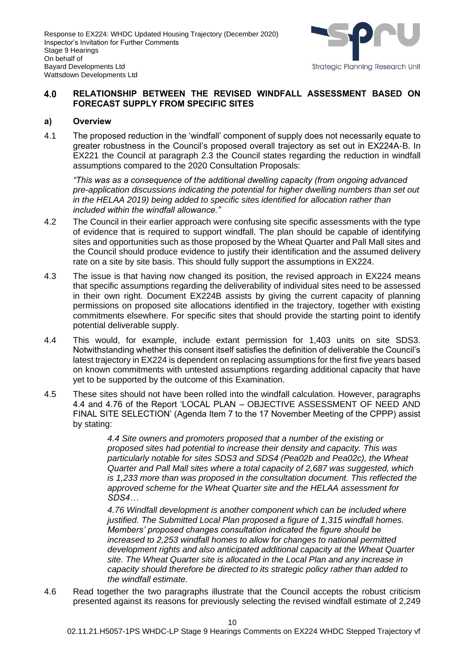

#### 4.0 **RELATIONSHIP BETWEEN THE REVISED WINDFALL ASSESSMENT BASED ON FORECAST SUPPLY FROM SPECIFIC SITES**

# **a) Overview**

4.1 The proposed reduction in the 'windfall' component of supply does not necessarily equate to greater robustness in the Council's proposed overall trajectory as set out in EX224A-B. In EX221 the Council at paragraph 2.3 the Council states regarding the reduction in windfall assumptions compared to the 2020 Consultation Proposals:

*"This was as a consequence of the additional dwelling capacity (from ongoing advanced pre-application discussions indicating the potential for higher dwelling numbers than set out in the HELAA 2019) being added to specific sites identified for allocation rather than included within the windfall allowance."*

- 4.2 The Council in their earlier approach were confusing site specific assessments with the type of evidence that is required to support windfall. The plan should be capable of identifying sites and opportunities such as those proposed by the Wheat Quarter and Pall Mall sites and the Council should produce evidence to justify their identification and the assumed delivery rate on a site by site basis. This should fully support the assumptions in EX224.
- 4.3 The issue is that having now changed its position, the revised approach in EX224 means that specific assumptions regarding the deliverability of individual sites need to be assessed in their own right. Document EX224B assists by giving the current capacity of planning permissions on proposed site allocations identified in the trajectory, together with existing commitments elsewhere. For specific sites that should provide the starting point to identify potential deliverable supply.
- 4.4 This would, for example, include extant permission for 1,403 units on site SDS3. Notwithstanding whether this consent itself satisfies the definition of deliverable the Council's latest trajectory in EX224 is dependent on replacing assumptions for the first five years based on known commitments with untested assumptions regarding additional capacity that have yet to be supported by the outcome of this Examination.
- 4.5 These sites should not have been rolled into the windfall calculation. However, paragraphs 4.4 and 4.76 of the Report 'LOCAL PLAN – OBJECTIVE ASSESSMENT OF NEED AND FINAL SITE SELECTION' (Agenda Item 7 to the 17 November Meeting of the CPPP) assist by stating:

*4.4 Site owners and promoters proposed that a number of the existing or proposed sites had potential to increase their density and capacity. This was particularly notable for sites SDS3 and SDS4 (Pea02b and Pea02c), the Wheat Quarter and Pall Mall sites where a total capacity of 2,687 was suggested, which is 1,233 more than was proposed in the consultation document. This reflected the approved scheme for the Wheat Quarter site and the HELAA assessment for SDS4…*

*4.76 Windfall development is another component which can be included where justified. The Submitted Local Plan proposed a figure of 1,315 windfall homes. Members' proposed changes consultation indicated the figure should be increased to 2,253 windfall homes to allow for changes to national permitted development rights and also anticipated additional capacity at the Wheat Quarter site. The Wheat Quarter site is allocated in the Local Plan and any increase in capacity should therefore be directed to its strategic policy rather than added to the windfall estimate.*

4.6 Read together the two paragraphs illustrate that the Council accepts the robust criticism presented against its reasons for previously selecting the revised windfall estimate of 2,249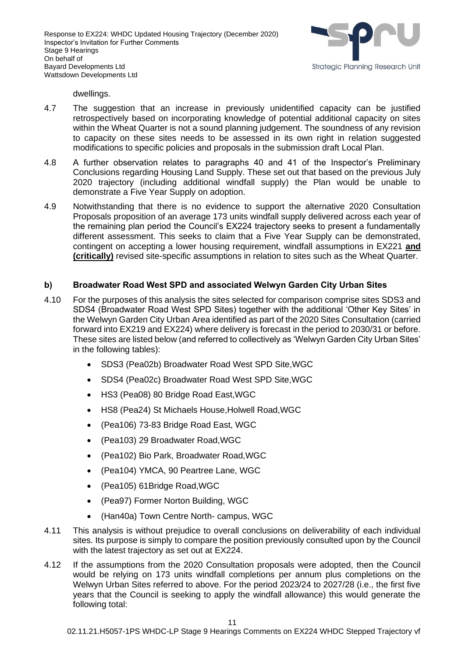

dwellings.

- 4.7 The suggestion that an increase in previously unidentified capacity can be justified retrospectively based on incorporating knowledge of potential additional capacity on sites within the Wheat Quarter is not a sound planning judgement. The soundness of any revision to capacity on these sites needs to be assessed in its own right in relation suggested modifications to specific policies and proposals in the submission draft Local Plan.
- 4.8 A further observation relates to paragraphs 40 and 41 of the Inspector's Preliminary Conclusions regarding Housing Land Supply. These set out that based on the previous July 2020 trajectory (including additional windfall supply) the Plan would be unable to demonstrate a Five Year Supply on adoption.
- 4.9 Notwithstanding that there is no evidence to support the alternative 2020 Consultation Proposals proposition of an average 173 units windfall supply delivered across each year of the remaining plan period the Council's EX224 trajectory seeks to present a fundamentally different assessment. This seeks to claim that a Five Year Supply can be demonstrated, contingent on accepting a lower housing requirement, windfall assumptions in EX221 **and (critically)** revised site-specific assumptions in relation to sites such as the Wheat Quarter.

## **b) Broadwater Road West SPD and associated Welwyn Garden City Urban Sites**

- 4.10 For the purposes of this analysis the sites selected for comparison comprise sites SDS3 and SDS4 (Broadwater Road West SPD Sites) together with the additional 'Other Key Sites' in the Welwyn Garden City Urban Area identified as part of the 2020 Sites Consultation (carried forward into EX219 and EX224) where delivery is forecast in the period to 2030/31 or before. These sites are listed below (and referred to collectively as 'Welwyn Garden City Urban Sites' in the following tables):
	- SDS3 (Pea02b) Broadwater Road West SPD Site,WGC
	- SDS4 (Pea02c) Broadwater Road West SPD Site,WGC
	- HS3 (Pea08) 80 Bridge Road East,WGC
	- HS8 (Pea24) St Michaels House,Holwell Road,WGC
	- (Pea106) 73-83 Bridge Road East, WGC
	- (Pea103) 29 Broadwater Road,WGC
	- (Pea102) Bio Park, Broadwater Road,WGC
	- (Pea104) YMCA, 90 Peartree Lane, WGC
	- (Pea105) 61Bridge Road,WGC
	- (Pea97) Former Norton Building, WGC
	- (Han40a) Town Centre North- campus, WGC
- 4.11 This analysis is without prejudice to overall conclusions on deliverability of each individual sites. Its purpose is simply to compare the position previously consulted upon by the Council with the latest trajectory as set out at EX224.
- 4.12 If the assumptions from the 2020 Consultation proposals were adopted, then the Council would be relying on 173 units windfall completions per annum plus completions on the Welwyn Urban Sites referred to above. For the period 2023/24 to 2027/28 (i.e., the first five years that the Council is seeking to apply the windfall allowance) this would generate the following total: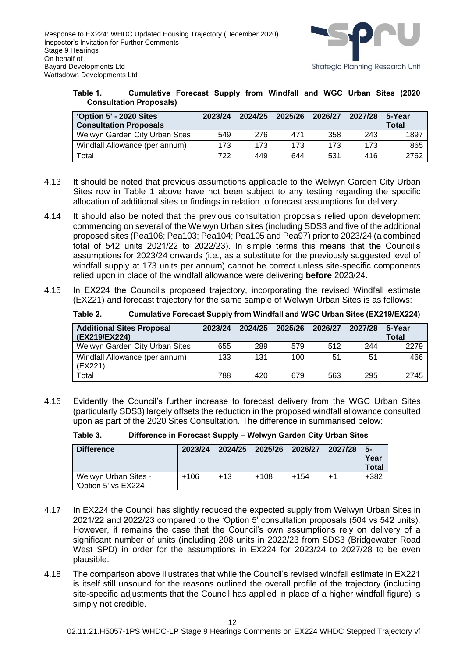

| Table 1. | Cumulative Forecast Supply from Windfall and WGC Urban Sites (2020 |  |  |  |  |  |
|----------|--------------------------------------------------------------------|--|--|--|--|--|
|          | <b>Consultation Proposals)</b>                                     |  |  |  |  |  |

| 'Option 5' - 2020 Sites<br><b>Consultation Proposals</b> | 2023/24 | 2024/25 | 2025/26 | 2026/27 | 2027/28 | 5-Year<br><b>Total</b> |
|----------------------------------------------------------|---------|---------|---------|---------|---------|------------------------|
| Welwyn Garden City Urban Sites                           | 549     | 276     | 471     | 358     | 243     | 1897                   |
| Windfall Allowance (per annum)                           | 173     | 173     | 173     | 173     | 173     | 865                    |
| Total                                                    | 722     | 449     | 644     | 531     | 416     | 2762                   |

- 4.13 It should be noted that previous assumptions applicable to the Welwyn Garden City Urban Sites row in Table 1 above have not been subject to any testing regarding the specific allocation of additional sites or findings in relation to forecast assumptions for delivery.
- 4.14 It should also be noted that the previous consultation proposals relied upon development commencing on several of the Welwyn Urban sites (including SDS3 and five of the additional proposed sites (Pea106; Pea103; Pea104; Pea105 and Pea97) prior to 2023/24 (a combined total of 542 units 2021/22 to 2022/23). In simple terms this means that the Council's assumptions for 2023/24 onwards (i.e., as a substitute for the previously suggested level of windfall supply at 173 units per annum) cannot be correct unless site-specific components relied upon in place of the windfall allowance were delivering **before** 2023/24.
- 4.15 In EX224 the Council's proposed trajectory, incorporating the revised Windfall estimate (EX221) and forecast trajectory for the same sample of Welwyn Urban Sites is as follows:

**Table 2. Cumulative Forecast Supply from Windfall and WGC Urban Sites (EX219/EX224)**

| <b>Additional Sites Proposal</b><br>(EX219/EX224) | 2023/24 | 2024/25 | 2025/26 | 2026/27 | 2027/28 | 5-Year<br><b>Total</b> |
|---------------------------------------------------|---------|---------|---------|---------|---------|------------------------|
| Welwyn Garden City Urban Sites                    | 655     | 289     | 579     | 512     | 244     | 2279                   |
| Windfall Allowance (per annum)<br>(EX221)         | 133     | 131     | 100     | 51      | 51      | 466                    |
| Total                                             | 788     | 420     | 679     | 563     | 295     | 2745                   |

4.16 Evidently the Council's further increase to forecast delivery from the WGC Urban Sites (particularly SDS3) largely offsets the reduction in the proposed windfall allowance consulted upon as part of the 2020 Sites Consultation. The difference in summarised below:

**Table 3. Difference in Forecast Supply – Welwyn Garden City Urban Sites**

| <b>Difference</b>                           | 2023/24 | 2024/25 | 2025/26 | 2026/27 | 2027/28 | -5<br>Year<br><b>Total</b> |
|---------------------------------------------|---------|---------|---------|---------|---------|----------------------------|
| Welwyn Urban Sites -<br>'Option 5' vs EX224 | $+106$  | $+13$   | $+108$  | $+154$  | $+1$    | $+382$                     |

- 4.17 In EX224 the Council has slightly reduced the expected supply from Welwyn Urban Sites in 2021/22 and 2022/23 compared to the 'Option 5' consultation proposals (504 vs 542 units). However, it remains the case that the Council's own assumptions rely on delivery of a significant number of units (including 208 units in 2022/23 from SDS3 (Bridgewater Road West SPD) in order for the assumptions in EX224 for 2023/24 to 2027/28 to be even plausible.
- 4.18 The comparison above illustrates that while the Council's revised windfall estimate in EX221 is itself still unsound for the reasons outlined the overall profile of the trajectory (including site-specific adjustments that the Council has applied in place of a higher windfall figure) is simply not credible.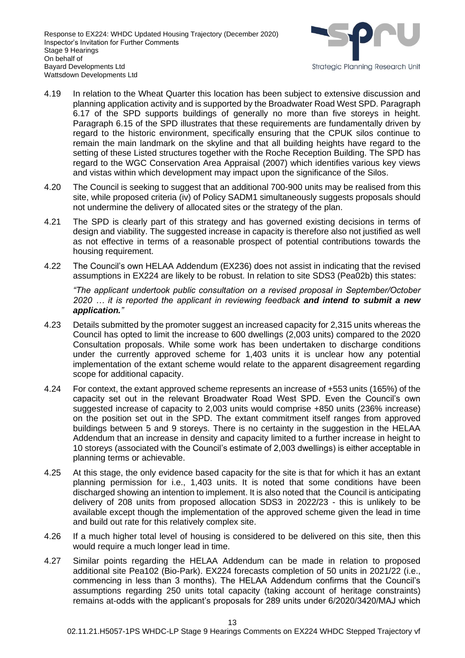

- 4.19 In relation to the Wheat Quarter this location has been subject to extensive discussion and planning application activity and is supported by the Broadwater Road West SPD. Paragraph 6.17 of the SPD supports buildings of generally no more than five storeys in height. Paragraph 6.15 of the SPD illustrates that these requirements are fundamentally driven by regard to the historic environment, specifically ensuring that the CPUK silos continue to remain the main landmark on the skyline and that all building heights have regard to the setting of these Listed structures together with the Roche Reception Building. The SPD has regard to the WGC Conservation Area Appraisal (2007) which identifies various key views and vistas within which development may impact upon the significance of the Silos.
- 4.20 The Council is seeking to suggest that an additional 700-900 units may be realised from this site, while proposed criteria (iv) of Policy SADM1 simultaneously suggests proposals should not undermine the delivery of allocated sites or the strategy of the plan.
- 4.21 The SPD is clearly part of this strategy and has governed existing decisions in terms of design and viability. The suggested increase in capacity is therefore also not justified as well as not effective in terms of a reasonable prospect of potential contributions towards the housing requirement.
- 4.22 The Council's own HELAA Addendum (EX236) does not assist in indicating that the revised assumptions in EX224 are likely to be robust. In relation to site SDS3 (Pea02b) this states:

*"The applicant undertook public consultation on a revised proposal in September/October 2020 … it is reported the applicant in reviewing feedback and intend to submit a new application."*

- 4.23 Details submitted by the promoter suggest an increased capacity for 2,315 units whereas the Council has opted to limit the increase to 600 dwellings (2,003 units) compared to the 2020 Consultation proposals. While some work has been undertaken to discharge conditions under the currently approved scheme for 1,403 units it is unclear how any potential implementation of the extant scheme would relate to the apparent disagreement regarding scope for additional capacity.
- 4.24 For context, the extant approved scheme represents an increase of +553 units (165%) of the capacity set out in the relevant Broadwater Road West SPD. Even the Council's own suggested increase of capacity to 2,003 units would comprise +850 units (236% increase) on the position set out in the SPD. The extant commitment itself ranges from approved buildings between 5 and 9 storeys. There is no certainty in the suggestion in the HELAA Addendum that an increase in density and capacity limited to a further increase in height to 10 storeys (associated with the Council's estimate of 2,003 dwellings) is either acceptable in planning terms or achievable.
- 4.25 At this stage, the only evidence based capacity for the site is that for which it has an extant planning permission for i.e., 1,403 units. It is noted that some conditions have been discharged showing an intention to implement. It is also noted that the Council is anticipating delivery of 208 units from proposed allocation SDS3 in 2022/23 - this is unlikely to be available except though the implementation of the approved scheme given the lead in time and build out rate for this relatively complex site.
- 4.26 If a much higher total level of housing is considered to be delivered on this site, then this would require a much longer lead in time.
- 4.27 Similar points regarding the HELAA Addendum can be made in relation to proposed additional site Pea102 (Bio-Park). EX224 forecasts completion of 50 units in 2021/22 (i.e., commencing in less than 3 months). The HELAA Addendum confirms that the Council's assumptions regarding 250 units total capacity (taking account of heritage constraints) remains at-odds with the applicant's proposals for 289 units under 6/2020/3420/MAJ which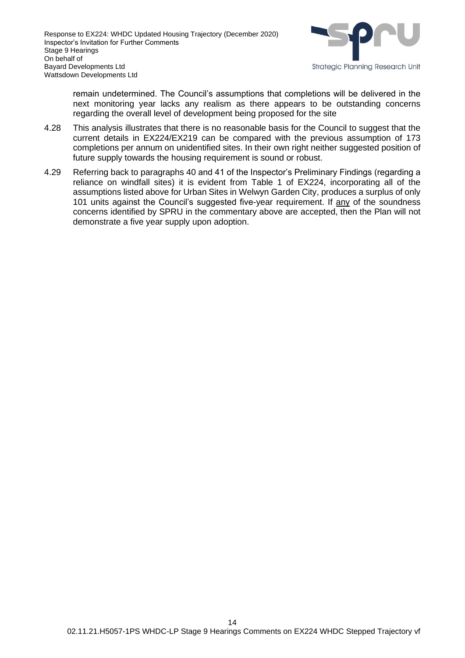

remain undetermined. The Council's assumptions that completions will be delivered in the next monitoring year lacks any realism as there appears to be outstanding concerns regarding the overall level of development being proposed for the site

- 4.28 This analysis illustrates that there is no reasonable basis for the Council to suggest that the current details in EX224/EX219 can be compared with the previous assumption of 173 completions per annum on unidentified sites. In their own right neither suggested position of future supply towards the housing requirement is sound or robust.
- 4.29 Referring back to paragraphs 40 and 41 of the Inspector's Preliminary Findings (regarding a reliance on windfall sites) it is evident from Table 1 of EX224, incorporating all of the assumptions listed above for Urban Sites in Welwyn Garden City, produces a surplus of only 101 units against the Council's suggested five-year requirement. If any of the soundness concerns identified by SPRU in the commentary above are accepted, then the Plan will not demonstrate a five year supply upon adoption.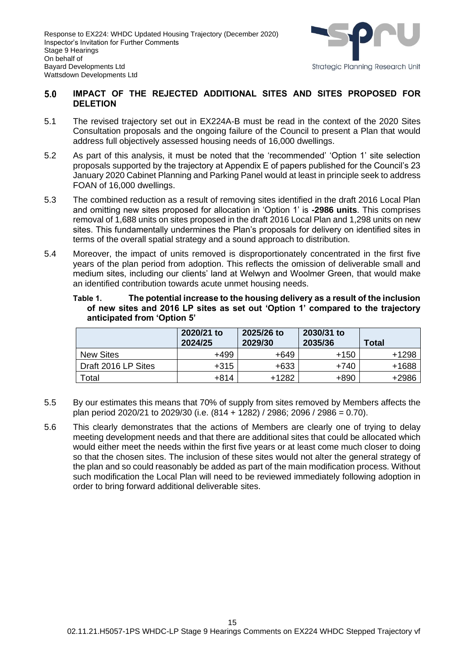

#### $5.0$ **IMPACT OF THE REJECTED ADDITIONAL SITES AND SITES PROPOSED FOR DELETION**

- 5.1 The revised trajectory set out in EX224A-B must be read in the context of the 2020 Sites Consultation proposals and the ongoing failure of the Council to present a Plan that would address full objectively assessed housing needs of 16,000 dwellings.
- 5.2 As part of this analysis, it must be noted that the 'recommended' 'Option 1' site selection proposals supported by the trajectory at Appendix E of papers published for the Council's 23 January 2020 Cabinet Planning and Parking Panel would at least in principle seek to address FOAN of 16,000 dwellings.
- 5.3 The combined reduction as a result of removing sites identified in the draft 2016 Local Plan and omitting new sites proposed for allocation in 'Option 1' is **-2986 units**. This comprises removal of 1,688 units on sites proposed in the draft 2016 Local Plan and 1,298 units on new sites. This fundamentally undermines the Plan's proposals for delivery on identified sites in terms of the overall spatial strategy and a sound approach to distribution.
- 5.4 Moreover, the impact of units removed is disproportionately concentrated in the first five years of the plan period from adoption. This reflects the omission of deliverable small and medium sites, including our clients' land at Welwyn and Woolmer Green, that would make an identified contribution towards acute unmet housing needs.

| Table 1. | The potential increase to the housing delivery as a result of the inclusion     |
|----------|---------------------------------------------------------------------------------|
|          | of new sites and 2016 LP sites as set out 'Option 1' compared to the trajectory |
|          | anticipated from 'Option 5'                                                     |

|                     | 2020/21 to<br>2024/25 | 2025/26 to<br>2029/30 | 2030/31 to<br>2035/36 | <b>Total</b> |
|---------------------|-----------------------|-----------------------|-----------------------|--------------|
| <b>New Sites</b>    | +499                  | +649                  | $+150$                | $+1298$      |
| Draft 2016 LP Sites | $+315$                | $+633$                | +740                  | +1688        |
| Total               | +814                  | $+1282$               | $+890$                | +2986        |

- 5.5 By our estimates this means that 70% of supply from sites removed by Members affects the plan period 2020/21 to 2029/30 (i.e. (814 + 1282) / 2986; 2096 / 2986 = 0.70).
- 5.6 This clearly demonstrates that the actions of Members are clearly one of trying to delay meeting development needs and that there are additional sites that could be allocated which would either meet the needs within the first five years or at least come much closer to doing so that the chosen sites. The inclusion of these sites would not alter the general strategy of the plan and so could reasonably be added as part of the main modification process. Without such modification the Local Plan will need to be reviewed immediately following adoption in order to bring forward additional deliverable sites.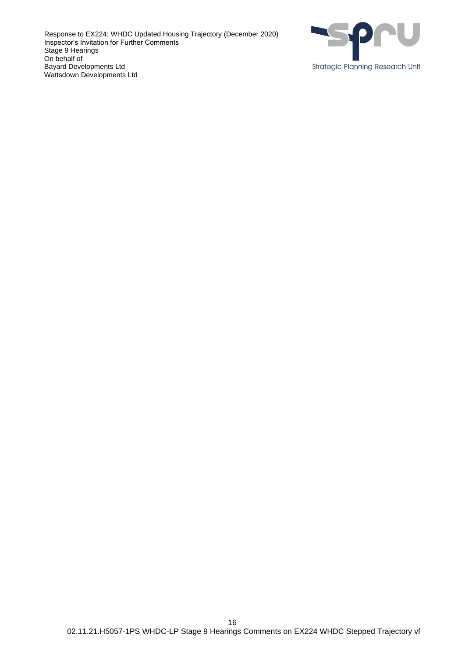Response to EX224: WHDC Updated Housing Trajectory (December 2020) Inspector's Invitation for Further Comments Stage 9 Hearings On behalf of Bayard Developments Ltd Wattsdown Developments Ltd